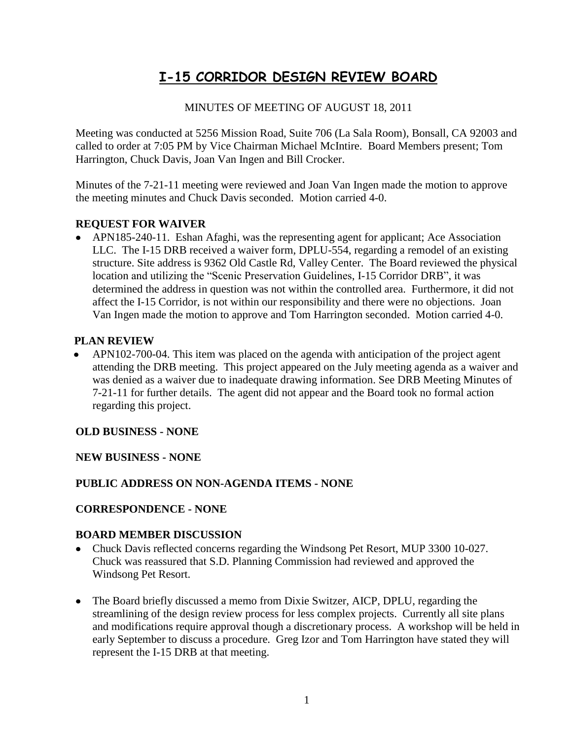# **I-15 CORRIDOR DESIGN REVIEW BOARD**

### MINUTES OF MEETING OF AUGUST 18, 2011

Meeting was conducted at 5256 Mission Road, Suite 706 (La Sala Room), Bonsall, CA 92003 and called to order at 7:05 PM by Vice Chairman Michael McIntire. Board Members present; Tom Harrington, Chuck Davis, Joan Van Ingen and Bill Crocker.

Minutes of the 7-21-11 meeting were reviewed and Joan Van Ingen made the motion to approve the meeting minutes and Chuck Davis seconded. Motion carried 4-0.

# **REQUEST FOR WAIVER**

APN185-240-11. Eshan Afaghi, was the representing agent for applicant; Ace Association LLC. The I-15 DRB received a waiver form, DPLU-554, regarding a remodel of an existing structure. Site address is 9362 Old Castle Rd, Valley Center. The Board reviewed the physical location and utilizing the "Scenic Preservation Guidelines, I-15 Corridor DRB", it was determined the address in question was not within the controlled area. Furthermore, it did not affect the I-15 Corridor, is not within our responsibility and there were no objections. Joan Van Ingen made the motion to approve and Tom Harrington seconded. Motion carried 4-0.

#### **PLAN REVIEW**

 APN102-700-04. This item was placed on the agenda with anticipation of the project agent  $\bullet$ attending the DRB meeting. This project appeared on the July meeting agenda as a waiver and was denied as a waiver due to inadequate drawing information. See DRB Meeting Minutes of 7-21-11 for further details. The agent did not appear and the Board took no formal action regarding this project.

#### **OLD BUSINESS - NONE**

#### **NEW BUSINESS - NONE**

#### **PUBLIC ADDRESS ON NON-AGENDA ITEMS - NONE**

#### **CORRESPONDENCE - NONE**

#### **BOARD MEMBER DISCUSSION**

- Chuck Davis reflected concerns regarding the Windsong Pet Resort, MUP 3300 10-027.  $\bullet$ Chuck was reassured that S.D. Planning Commission had reviewed and approved the Windsong Pet Resort.
- The Board briefly discussed a memo from Dixie Switzer, AICP, DPLU, regarding the streamlining of the design review process for less complex projects. Currently all site plans and modifications require approval though a discretionary process. A workshop will be held in early September to discuss a procedure. Greg Izor and Tom Harrington have stated they will represent the I-15 DRB at that meeting.